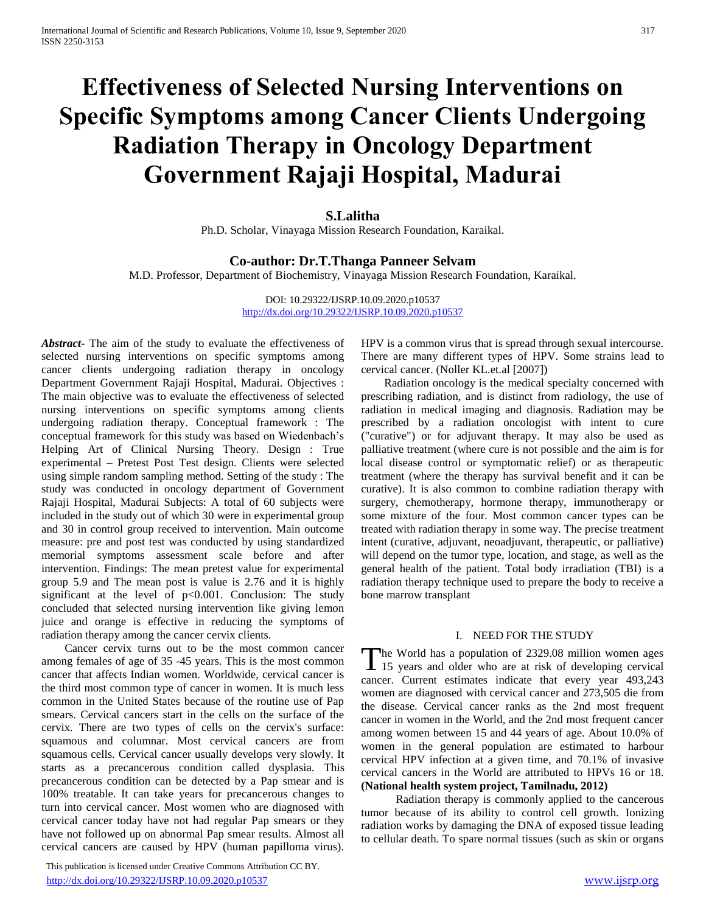# **Effectiveness of Selected Nursing Interventions on Specific Symptoms among Cancer Clients Undergoing Radiation Therapy in Oncology Department Government Rajaji Hospital, Madurai**

## **S.Lalitha**

Ph.D. Scholar, Vinayaga Mission Research Foundation, Karaikal.

## **Co-author: Dr.T.Thanga Panneer Selvam**

M.D. Professor, Department of Biochemistry, Vinayaga Mission Research Foundation, Karaikal.

DOI: 10.29322/IJSRP.10.09.2020.p10537 <http://dx.doi.org/10.29322/IJSRP.10.09.2020.p10537>

*Abstract***-** The aim of the study to evaluate the effectiveness of selected nursing interventions on specific symptoms among cancer clients undergoing radiation therapy in oncology Department Government Rajaji Hospital, Madurai. Objectives : The main objective was to evaluate the effectiveness of selected nursing interventions on specific symptoms among clients undergoing radiation therapy. Conceptual framework : The conceptual framework for this study was based on Wiedenbach's Helping Art of Clinical Nursing Theory. Design : True experimental – Pretest Post Test design. Clients were selected using simple random sampling method. Setting of the study : The study was conducted in oncology department of Government Rajaji Hospital, Madurai Subjects: A total of 60 subjects were included in the study out of which 30 were in experimental group and 30 in control group received to intervention. Main outcome measure: pre and post test was conducted by using standardized memorial symptoms assessment scale before and after intervention. Findings: The mean pretest value for experimental group 5.9 and The mean post is value is 2.76 and it is highly significant at the level of p<0.001. Conclusion: The study concluded that selected nursing intervention like giving lemon juice and orange is effective in reducing the symptoms of radiation therapy among the cancer cervix clients.

 Cancer cervix turns out to be the most common cancer among females of age of 35 -45 years. This is the most common cancer that affects Indian women. Worldwide, cervical cancer is the third most common type of cancer in women. It is much less common in the United States because of the routine use of Pap smears. Cervical cancers start in the cells on the surface of the cervix. There are two types of cells on the cervix's surface: squamous and columnar. Most cervical cancers are from squamous cells. Cervical cancer usually develops very slowly. It starts as a precancerous condition called dysplasia. This precancerous condition can be detected by a Pap smear and is 100% treatable. It can take years for precancerous changes to turn into cervical cancer. Most women who are diagnosed with cervical cancer today have not had regular Pap smears or they have not followed up on abnormal Pap smear results. Almost all cervical cancers are caused by HPV (human papilloma virus).

 This publication is licensed under Creative Commons Attribution CC BY. <http://dx.doi.org/10.29322/IJSRP.10.09.2020.p10537> [www.ijsrp.org](http://ijsrp.org/)

HPV is a common virus that is spread through sexual intercourse. There are many different types of HPV. Some strains lead to cervical cancer. (Noller KL.et.al [2007])

 Radiation oncology is the medical specialty concerned with prescribing radiation, and is distinct from radiology, the use of radiation in medical imaging and diagnosis. Radiation may be prescribed by a radiation oncologist with intent to cure ("curative") or for adjuvant therapy. It may also be used as palliative treatment (where cure is not possible and the aim is for local disease control or symptomatic relief) or as therapeutic treatment (where the therapy has survival benefit and it can be curative). It is also common to combine radiation therapy with surgery, chemotherapy, hormone therapy, immunotherapy or some mixture of the four. Most common cancer types can be treated with radiation therapy in some way. The precise treatment intent (curative, adjuvant, neoadjuvant, therapeutic, or palliative) will depend on the tumor type, location, and stage, as well as the general health of the patient. Total body irradiation (TBI) is a radiation therapy technique used to prepare the body to receive a bone marrow transplant

#### I. NEED FOR THE STUDY

The World has a population of 2329.08 million women ages The World has a population of 2329.08 million women ages<br>15 years and older who are at risk of developing cervical cancer. Current estimates indicate that every year 493,243 women are diagnosed with cervical cancer and 273,505 die from the disease. Cervical cancer ranks as the 2nd most frequent cancer in women in the World, and the 2nd most frequent cancer among women between 15 and 44 years of age. About 10.0% of women in the general population are estimated to harbour cervical HPV infection at a given time, and 70.1% of invasive cervical cancers in the World are attributed to HPVs 16 or 18. **(National health system project, Tamilnadu, 2012)**

 Radiation therapy is commonly applied to the cancerous tumor because of its ability to control cell growth. Ionizing radiation works by damaging the DNA of exposed tissue leading to cellular death. To spare normal tissues (such as skin or organs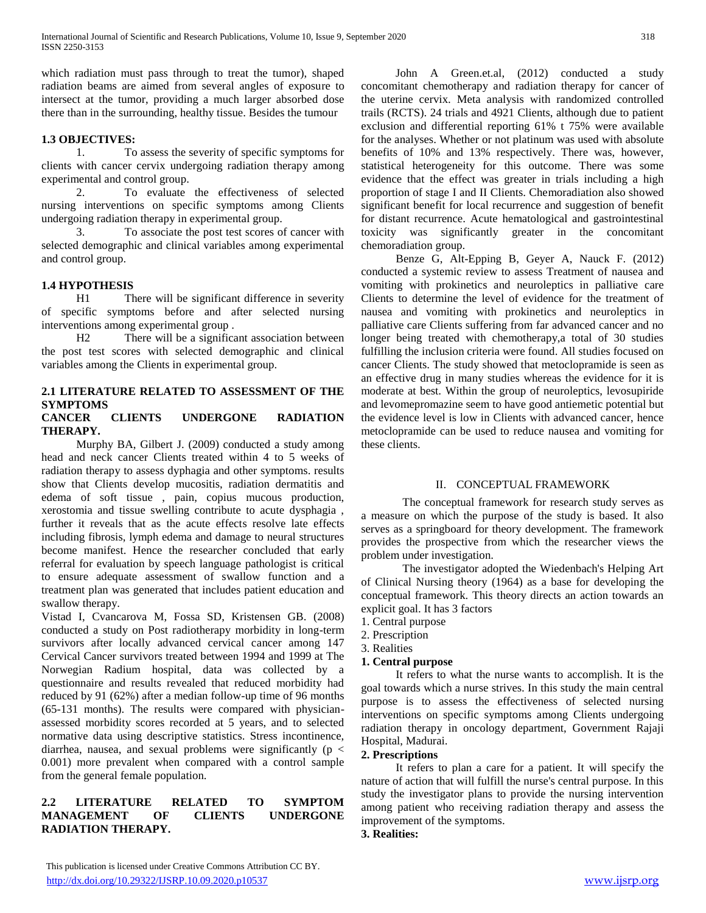which radiation must pass through to treat the tumor), shaped radiation beams are aimed from several angles of exposure to intersect at the tumor, providing a much larger absorbed dose there than in the surrounding, healthy tissue. Besides the tumour

## **1.3 OBJECTIVES:**

 1. To assess the severity of specific symptoms for clients with cancer cervix undergoing radiation therapy among experimental and control group.

 2. To evaluate the effectiveness of selected nursing interventions on specific symptoms among Clients undergoing radiation therapy in experimental group.

 3. To associate the post test scores of cancer with selected demographic and clinical variables among experimental and control group.

## **1.4 HYPOTHESIS**

 H1 There will be significant difference in severity of specific symptoms before and after selected nursing interventions among experimental group .

 H2 There will be a significant association between the post test scores with selected demographic and clinical variables among the Clients in experimental group.

## **2.1 LITERATURE RELATED TO ASSESSMENT OF THE SYMPTOMS CANCER CLIENTS UNDERGONE RADIATION**

## **THERAPY.**

 Murphy BA, Gilbert J. (2009) conducted a study among head and neck cancer Clients treated within 4 to 5 weeks of radiation therapy to assess dyphagia and other symptoms. results show that Clients develop mucositis, radiation dermatitis and edema of soft tissue , pain, copius mucous production, xerostomia and tissue swelling contribute to acute dysphagia , further it reveals that as the acute effects resolve late effects including fibrosis, lymph edema and damage to neural structures become manifest. Hence the researcher concluded that early referral for evaluation by speech language pathologist is critical to ensure adequate assessment of swallow function and a treatment plan was generated that includes patient education and swallow therapy.

Vistad I, Cvancarova M, Fossa SD, Kristensen GB. (2008) conducted a study on Post radiotherapy morbidity in long-term survivors after locally advanced cervical cancer among 147 Cervical Cancer survivors treated between 1994 and 1999 at The Norwegian Radium hospital, data was collected by a questionnaire and results revealed that reduced morbidity had reduced by 91 (62%) after a median follow-up time of 96 months (65-131 months). The results were compared with physicianassessed morbidity scores recorded at 5 years, and to selected normative data using descriptive statistics. Stress incontinence, diarrhea, nausea, and sexual problems were significantly ( $p <$ 0.001) more prevalent when compared with a control sample from the general female population.

## **2.2 LITERATURE RELATED TO SYMPTOM MANAGEMENT OF CLIENTS UNDERGONE RADIATION THERAPY.**

 John A Green.et.al, (2012) conducted a study concomitant chemotherapy and radiation therapy for cancer of the uterine cervix. Meta analysis with randomized controlled trails (RCTS). 24 trials and 4921 Clients, although due to patient exclusion and differential reporting 61% t 75% were available for the analyses. Whether or not platinum was used with absolute benefits of 10% and 13% respectively. There was, however, statistical heterogeneity for this outcome. There was some evidence that the effect was greater in trials including a high proportion of stage I and II Clients. Chemoradiation also showed significant benefit for local recurrence and suggestion of benefit for distant recurrence. Acute hematological and gastrointestinal toxicity was significantly greater in the concomitant chemoradiation group.

 Benze G, Alt-Epping B, Geyer A, Nauck F. (2012) conducted a systemic review to assess Treatment of nausea and vomiting with prokinetics and neuroleptics in palliative care Clients to determine the level of evidence for the treatment of nausea and vomiting with prokinetics and neuroleptics in palliative care Clients suffering from far advanced cancer and no longer being treated with chemotherapy,a total of 30 studies fulfilling the inclusion criteria were found. All studies focused on cancer Clients. The study showed that metoclopramide is seen as an effective drug in many studies whereas the evidence for it is moderate at best. Within the group of neuroleptics, levosupiride and levomepromazine seem to have good antiemetic potential but the evidence level is low in Clients with advanced cancer, hence metoclopramide can be used to reduce nausea and vomiting for these clients.

## II. CONCEPTUAL FRAMEWORK

The conceptual framework for research study serves as a measure on which the purpose of the study is based. It also serves as a springboard for theory development. The framework provides the prospective from which the researcher views the problem under investigation.

The investigator adopted the Wiedenbach's Helping Art of Clinical Nursing theory (1964) as a base for developing the conceptual framework. This theory directs an action towards an explicit goal. It has 3 factors

- 1. Central purpose
- 2. Prescription
- 3. Realities
- **1. Central purpose**

 It refers to what the nurse wants to accomplish. It is the goal towards which a nurse strives. In this study the main central purpose is to assess the effectiveness of selected nursing interventions on specific symptoms among Clients undergoing radiation therapy in oncology department, Government Rajaji Hospital, Madurai.

## **2. Prescriptions**

 It refers to plan a care for a patient. It will specify the nature of action that will fulfill the nurse's central purpose. In this study the investigator plans to provide the nursing intervention among patient who receiving radiation therapy and assess the improvement of the symptoms.

## **3. Realities:**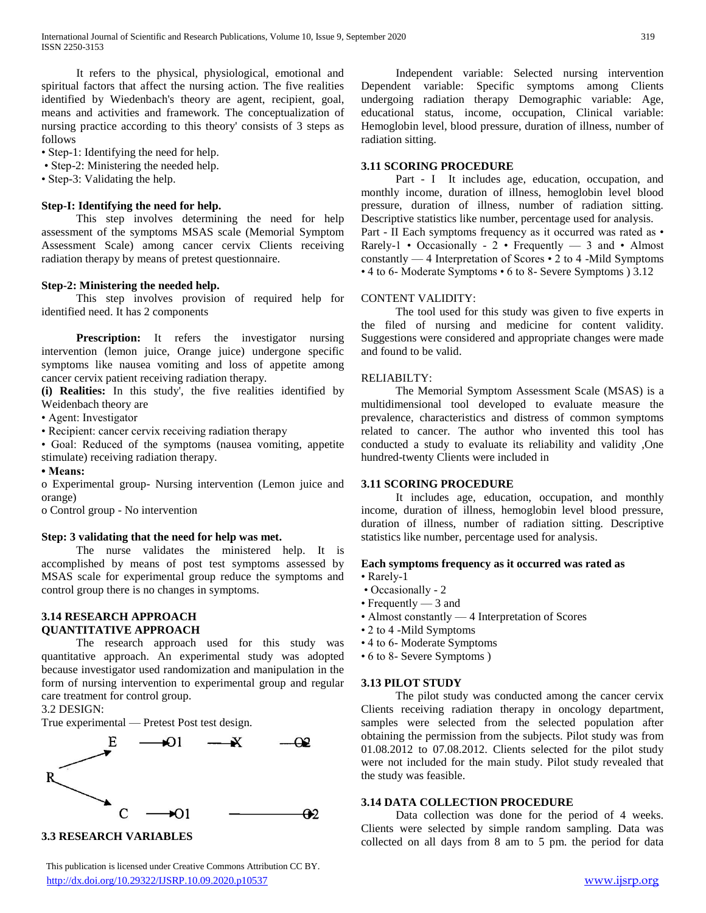It refers to the physical, physiological, emotional and spiritual factors that affect the nursing action. The five realities identified by Wiedenbach's theory are agent, recipient, goal, means and activities and framework. The conceptualization of nursing practice according to this theory' consists of 3 steps as follows

• Step-1: Identifying the need for help.

• Step-2: Ministering the needed help.

• Step-3: Validating the help.

## **Step-I: Identifying the need for help.**

 This step involves determining the need for help assessment of the symptoms MSAS scale (Memorial Symptom Assessment Scale) among cancer cervix Clients receiving radiation therapy by means of pretest questionnaire.

#### **Step-2: Ministering the needed help.**

 This step involves provision of required help for identified need. It has 2 components

Prescription: It refers the investigator nursing intervention (lemon juice, Orange juice) undergone specific symptoms like nausea vomiting and loss of appetite among cancer cervix patient receiving radiation therapy.

**(i) Realities:** In this study', the five realities identified by Weidenbach theory are

• Agent: Investigator

• Recipient: cancer cervix receiving radiation therapy

• Goal: Reduced of the symptoms (nausea vomiting, appetite stimulate) receiving radiation therapy.

**• Means:** 

o Experimental group- Nursing intervention (Lemon juice and orange)

o Control group - No intervention

#### **Step: 3 validating that the need for help was met.**

 The nurse validates the ministered help. It is accomplished by means of post test symptoms assessed by MSAS scale for experimental group reduce the symptoms and control group there is no changes in symptoms.

## **3.14 RESEARCH APPROACH QUANTITATIVE APPROACH**

 The research approach used for this study was quantitative approach. An experimental study was adopted because investigator used randomization and manipulation in the form of nursing intervention to experimental group and regular care treatment for control group.

## 3.2 DESIGN:

True experimental — Pretest Post test design.



## **3.3 RESEARCH VARIABLES**

 This publication is licensed under Creative Commons Attribution CC BY. <http://dx.doi.org/10.29322/IJSRP.10.09.2020.p10537> [www.ijsrp.org](http://ijsrp.org/)

 Independent variable: Selected nursing intervention Dependent variable: Specific symptoms among Clients undergoing radiation therapy Demographic variable: Age, educational status, income, occupation, Clinical variable: Hemoglobin level, blood pressure, duration of illness, number of radiation sitting.

## **3.11 SCORING PROCEDURE**

 Part - I It includes age, education, occupation, and monthly income, duration of illness, hemoglobin level blood pressure, duration of illness, number of radiation sitting. Descriptive statistics like number, percentage used for analysis. Part - II Each symptoms frequency as it occurred was rated as • Rarely-1 • Occasionally - 2 • Frequently  $-$  3 and • Almost constantly — 4 Interpretation of Scores • 2 to 4 -Mild Symptoms • 4 to 6- Moderate Symptoms • 6 to 8- Severe Symptoms ) 3.12

## CONTENT VALIDITY:

 The tool used for this study was given to five experts in the filed of nursing and medicine for content validity. Suggestions were considered and appropriate changes were made and found to be valid.

#### RELIABILTY:

 The Memorial Symptom Assessment Scale (MSAS) is a multidimensional tool developed to evaluate measure the prevalence, characteristics and distress of common symptoms related to cancer. The author who invented this tool has conducted a study to evaluate its reliability and validity ,One hundred-twenty Clients were included in

## **3.11 SCORING PROCEDURE**

 It includes age, education, occupation, and monthly income, duration of illness, hemoglobin level blood pressure, duration of illness, number of radiation sitting. Descriptive statistics like number, percentage used for analysis.

## **Each symptoms frequency as it occurred was rated as**

- Rarely-1
- Occasionally 2
- Frequently 3 and
- Almost constantly 4 Interpretation of Scores
- 2 to 4 -Mild Symptoms
- 4 to 6- Moderate Symptoms
- 6 to 8- Severe Symptoms )

## **3.13 PILOT STUDY**

 The pilot study was conducted among the cancer cervix Clients receiving radiation therapy in oncology department, samples were selected from the selected population after obtaining the permission from the subjects. Pilot study was from 01.08.2012 to 07.08.2012. Clients selected for the pilot study were not included for the main study. Pilot study revealed that the study was feasible.

## **3.14 DATA COLLECTION PROCEDURE**

 Data collection was done for the period of 4 weeks. Clients were selected by simple random sampling. Data was collected on all days from 8 am to 5 pm. the period for data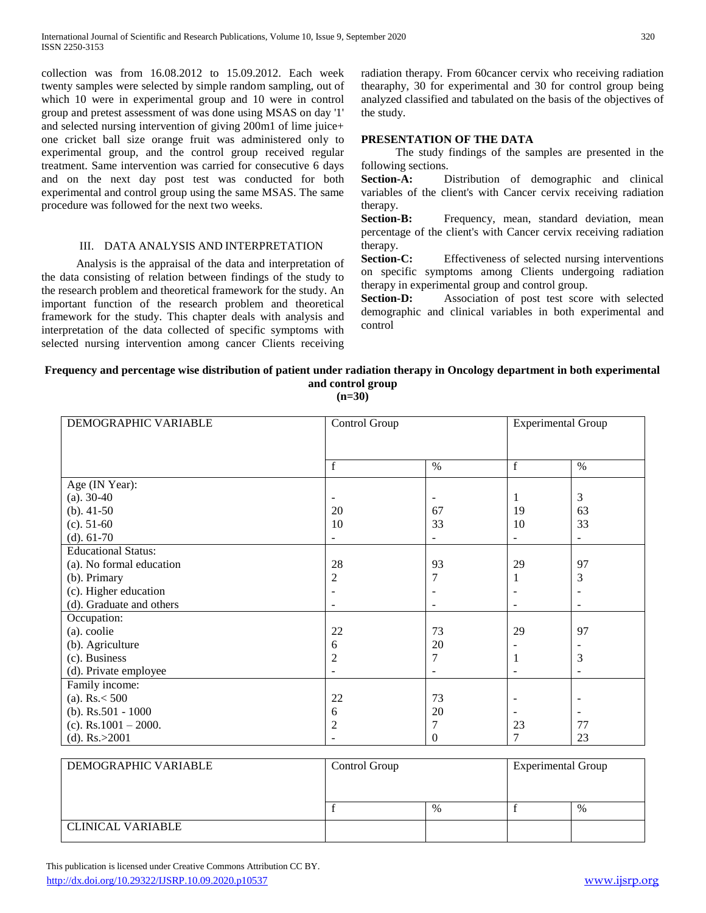collection was from 16.08.2012 to 15.09.2012. Each week twenty samples were selected by simple random sampling, out of which 10 were in experimental group and 10 were in control group and pretest assessment of was done using MSAS on day '1' and selected nursing intervention of giving 200m1 of lime juice+ one cricket ball size orange fruit was administered only to experimental group, and the control group received regular treatment. Same intervention was carried for consecutive 6 days and on the next day post test was conducted for both experimental and control group using the same MSAS. The same procedure was followed for the next two weeks.

## III. DATA ANALYSIS AND INTERPRETATION

 Analysis is the appraisal of the data and interpretation of the data consisting of relation between findings of the study to the research problem and theoretical framework for the study. An important function of the research problem and theoretical framework for the study. This chapter deals with analysis and interpretation of the data collected of specific symptoms with selected nursing intervention among cancer Clients receiving

radiation therapy. From 60cancer cervix who receiving radiation thearaphy, 30 for experimental and 30 for control group being analyzed classified and tabulated on the basis of the objectives of the study.

## **PRESENTATION OF THE DATA**

 The study findings of the samples are presented in the following sections.

**Section-A:** Distribution of demographic and clinical variables of the client's with Cancer cervix receiving radiation therapy.

**Section-B:** Frequency, mean, standard deviation, mean percentage of the client's with Cancer cervix receiving radiation therapy.

Section-C: Effectiveness of selected nursing interventions on specific symptoms among Clients undergoing radiation therapy in experimental group and control group.

**Section-D:** Association of post test score with selected demographic and clinical variables in both experimental and control

## **Frequency and percentage wise distribution of patient under radiation therapy in Oncology department in both experimental and control group**

| $=30$<br>(n: |  |
|--------------|--|

| DEMOGRAPHIC VARIABLE       | Control Group            |                          | <b>Experimental Group</b> |                          |
|----------------------------|--------------------------|--------------------------|---------------------------|--------------------------|
|                            |                          |                          |                           |                          |
|                            | f                        | $\%$                     | f                         | $\%$                     |
| Age (IN Year):             |                          |                          |                           |                          |
| $(a)$ . 30-40              |                          |                          | 1                         | 3                        |
| $(b)$ . 41-50              | 20                       | 67                       | 19                        | 63                       |
| $(c)$ . 51-60              | 10                       | 33                       | 10                        | 33                       |
| $(d)$ . 61-70              | $\overline{\phantom{a}}$ | $\overline{\phantom{a}}$ | $\overline{\phantom{a}}$  | $\overline{\phantom{a}}$ |
| <b>Educational Status:</b> |                          |                          |                           |                          |
| (a). No formal education   | 28                       | 93                       | 29                        | 97                       |
| (b). Primary               | 2                        | 7                        | 1                         | 3                        |
| (c). Higher education      |                          |                          |                           | ٠                        |
| (d). Graduate and others   | $\qquad \qquad -$        |                          | $\overline{\phantom{a}}$  | $\overline{\phantom{a}}$ |
| Occupation:                |                          |                          |                           |                          |
| (a). coolie                | 22                       | 73                       | 29                        | 97                       |
| (b). Agriculture           | 6                        | 20                       |                           |                          |
| (c). Business              | 2                        | 7                        | 1                         | 3                        |
| (d). Private employee      |                          |                          |                           | $\overline{\phantom{a}}$ |
| Family income:             |                          |                          |                           |                          |
| (a). $Rs < 500$            | 22                       | 73                       |                           | $\overline{\phantom{0}}$ |
| (b). $Rs.501 - 1000$       | 6                        | 20                       |                           |                          |
| (c). $Rs.1001 - 2000$ .    | 2                        | 7                        | 23                        | 77                       |
| (d). $Rs. > 2001$          |                          | $\Omega$                 | 7                         | 23                       |

| DEMOGRAPHIC VARIABLE     | Control Group | <b>Experimental Group</b> |  |      |
|--------------------------|---------------|---------------------------|--|------|
|                          |               | $\%$                      |  | $\%$ |
| <b>CLINICAL VARIABLE</b> |               |                           |  |      |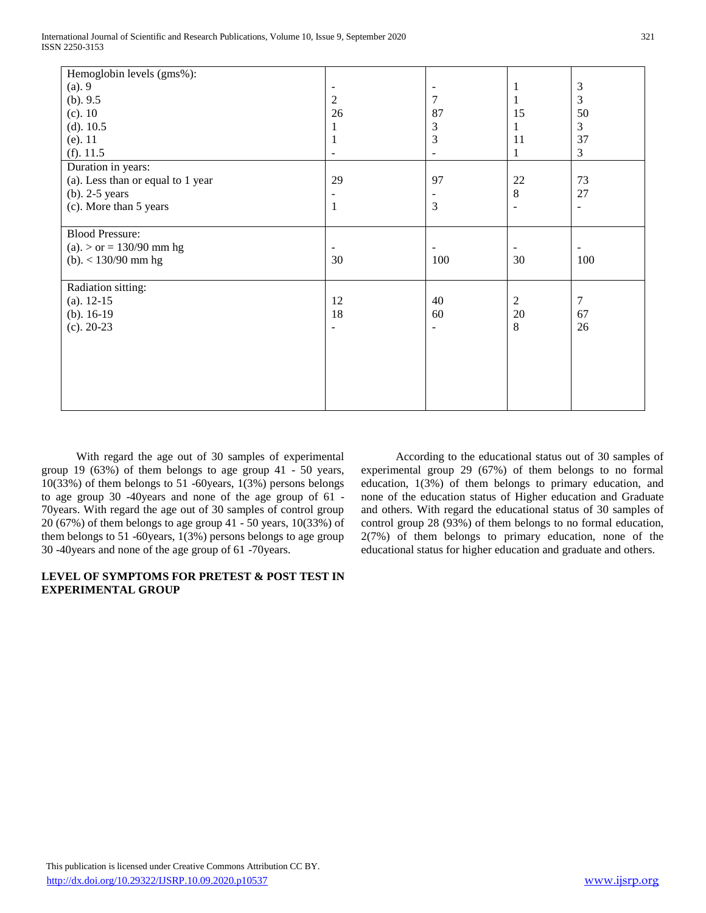| Hemoglobin levels (gms%):         |                          |                |                          |                   |
|-----------------------------------|--------------------------|----------------|--------------------------|-------------------|
| $(a)$ . 9                         | $\overline{\phantom{a}}$ |                | 1                        | 3                 |
| $(b)$ . 9.5                       | $\mathfrak{2}$           | 7              | $\mathbf{1}$             | 3                 |
| $(c)$ . 10                        | 26                       | 87             | 15                       | 50                |
| $(d)$ . 10.5                      | 1                        | 3              | 1                        | 3                 |
| $(e)$ . 11                        | 1                        | 3              | 11                       | 37                |
| (f). 11.5                         | $\overline{\phantom{a}}$ | $\blacksquare$ | 1                        | 3                 |
| Duration in years:                |                          |                |                          |                   |
| (a). Less than or equal to 1 year | 29                       | 97             | 22                       | 73                |
| $(b)$ . 2-5 years                 |                          |                | 8                        | 27                |
| (c). More than 5 years            | 1                        | $\overline{3}$ | $\overline{\phantom{a}}$ | $\qquad \qquad -$ |
|                                   |                          |                |                          |                   |
| <b>Blood Pressure:</b>            |                          |                |                          |                   |
| (a). $>$ or = 130/90 mm hg        |                          |                |                          |                   |
| (b). $< 130/90$ mm hg             | 30                       | 100            | 30                       | 100               |
|                                   |                          |                |                          |                   |
| Radiation sitting:                |                          |                |                          |                   |
| $(a)$ . 12-15                     | 12                       | 40             | $\sqrt{2}$               | 7                 |
| $(b)$ . 16-19                     | 18                       | 60             | $20\,$                   | 67                |
| $(c)$ . 20-23                     |                          |                | 8                        | 26                |
|                                   |                          |                |                          |                   |
|                                   |                          |                |                          |                   |
|                                   |                          |                |                          |                   |
|                                   |                          |                |                          |                   |
|                                   |                          |                |                          |                   |
|                                   |                          |                |                          |                   |

 With regard the age out of 30 samples of experimental group 19 (63%) of them belongs to age group 41 - 50 years, 10(33%) of them belongs to 51 -60years, 1(3%) persons belongs to age group 30 -40years and none of the age group of 61 - 70years. With regard the age out of 30 samples of control group 20 (67%) of them belongs to age group 41 - 50 years, 10(33%) of them belongs to 51 -60years, 1(3%) persons belongs to age group 30 -40years and none of the age group of 61 -70years.

## **LEVEL OF SYMPTOMS FOR PRETEST & POST TEST IN EXPERIMENTAL GROUP**

 According to the educational status out of 30 samples of experimental group 29 (67%) of them belongs to no formal education, 1(3%) of them belongs to primary education, and none of the education status of Higher education and Graduate and others. With regard the educational status of 30 samples of control group 28 (93%) of them belongs to no formal education, 2(7%) of them belongs to primary education, none of the educational status for higher education and graduate and others.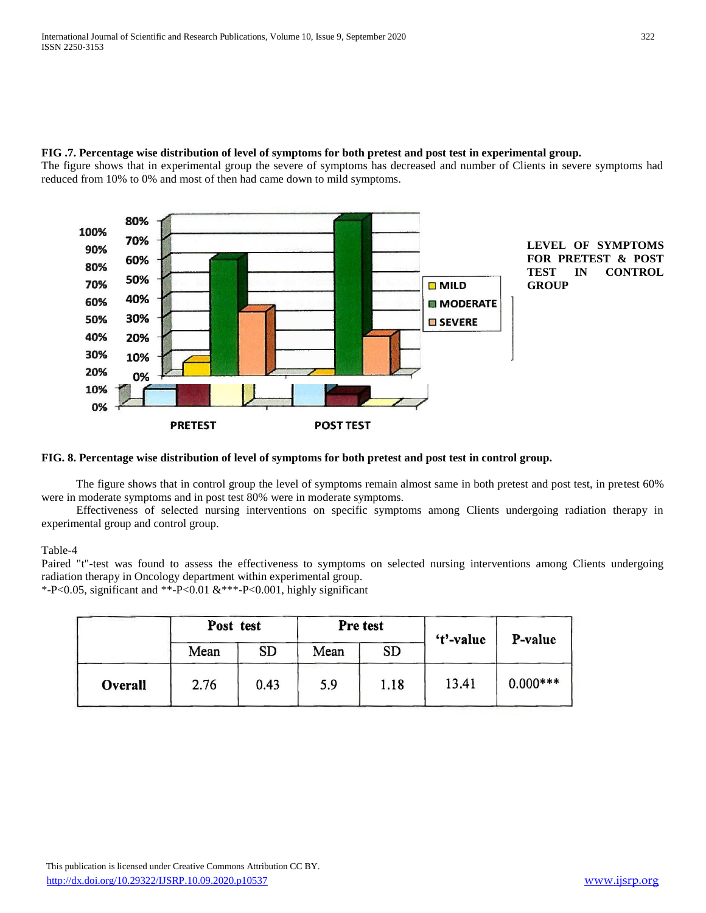## **FIG .7. Percentage wise distribution of level of symptoms for both pretest and post test in experimental group.**

The figure shows that in experimental group the severe of symptoms has decreased and number of Clients in severe symptoms had reduced from 10% to 0% and most of then had came down to mild symptoms.



## **FIG. 8. Percentage wise distribution of level of symptoms for both pretest and post test in control group.**

 The figure shows that in control group the level of symptoms remain almost same in both pretest and post test, in pretest 60% were in moderate symptoms and in post test 80% were in moderate symptoms.

 Effectiveness of selected nursing interventions on specific symptoms among Clients undergoing radiation therapy in experimental group and control group.

## Table-4

Paired "t"-test was found to assess the effectiveness to symptoms on selected nursing interventions among Clients undergoing radiation therapy in Oncology department within experimental group.

\*-P<0.05, significant and \*\*-P<0.01 &\*\*\*-P<0.001, highly significant

|         | Post test |           | Pre test |           | 't'-value | P-value    |
|---------|-----------|-----------|----------|-----------|-----------|------------|
|         | Mean      | <b>SD</b> | Mean     | <b>SD</b> |           |            |
| Overall | 2.76      | 0.43      | 5.9      | 1.18      | 13.41     | $0.000***$ |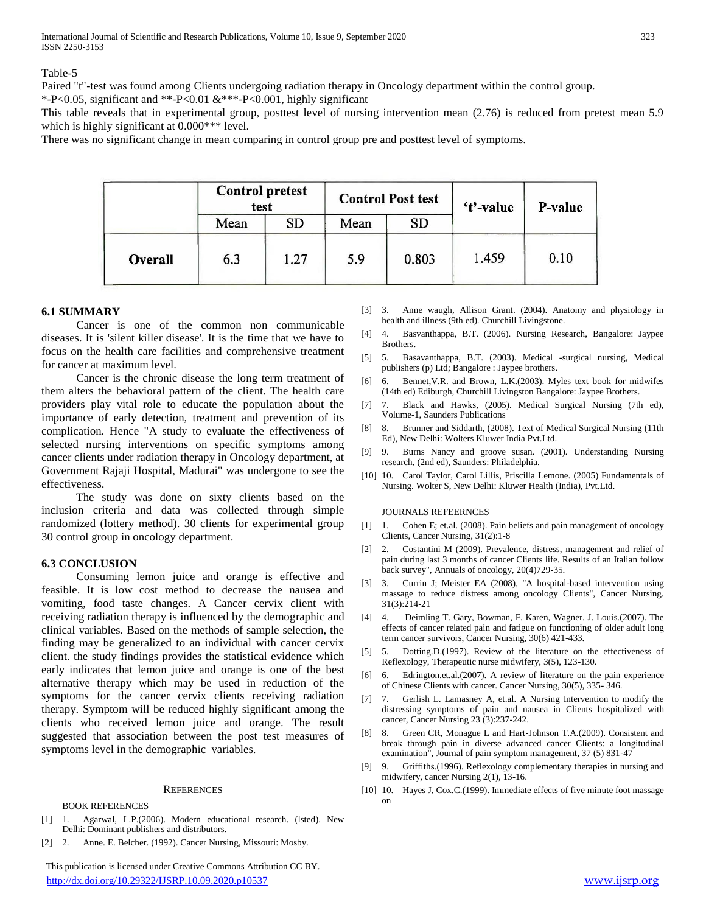International Journal of Scientific and Research Publications, Volume 10, Issue 9, September 2020 323 ISSN 2250-3153

#### Table-5

Paired "t"-test was found among Clients undergoing radiation therapy in Oncology department within the control group.

\*-P<0.05, significant and \*\*-P<0.01 &\*\*\*-P<0.001, highly significant

This table reveals that in experimental group, posttest level of nursing intervention mean (2.76) is reduced from pretest mean 5.9 which is highly significant at  $0.000***$  level.

There was no significant change in mean comparing in control group pre and posttest level of symptoms.

|         | <b>Control pretest</b><br><b>Control Post test</b><br>test |           |      |           |       | 't'-value | P-value |
|---------|------------------------------------------------------------|-----------|------|-----------|-------|-----------|---------|
|         | Mean                                                       | <b>SD</b> | Mean | <b>SD</b> |       |           |         |
| Overall | 6.3                                                        | 1.27      | 5.9  | 0.803     | 1.459 | 0.10      |         |

#### **6.1 SUMMARY**

 Cancer is one of the common non communicable diseases. It is 'silent killer disease'. It is the time that we have to focus on the health care facilities and comprehensive treatment for cancer at maximum level.

 Cancer is the chronic disease the long term treatment of them alters the behavioral pattern of the client. The health care providers play vital role to educate the population about the importance of early detection, treatment and prevention of its complication. Hence "A study to evaluate the effectiveness of selected nursing interventions on specific symptoms among cancer clients under radiation therapy in Oncology department, at Government Rajaji Hospital, Madurai" was undergone to see the effectiveness.

 The study was done on sixty clients based on the inclusion criteria and data was collected through simple randomized (lottery method). 30 clients for experimental group 30 control group in oncology department.

#### **6.3 CONCLUSION**

 Consuming lemon juice and orange is effective and feasible. It is low cost method to decrease the nausea and vomiting, food taste changes. A Cancer cervix client with receiving radiation therapy is influenced by the demographic and clinical variables. Based on the methods of sample selection, the finding may be generalized to an individual with cancer cervix client. the study findings provides the statistical evidence which early indicates that lemon juice and orange is one of the best alternative therapy which may be used in reduction of the symptoms for the cancer cervix clients receiving radiation therapy. Symptom will be reduced highly significant among the clients who received lemon juice and orange. The result suggested that association between the post test measures of symptoms level in the demographic variables.

#### **REFERENCES**

BOOK REFERENCES

- [1] 1. Agarwal, L.P.(2006). Modern educational research. (lsted). New Delhi: Dominant publishers and distributors.
- [2] 2. Anne. E. Belcher. (1992). Cancer Nursing, Missouri: Mosby.

 This publication is licensed under Creative Commons Attribution CC BY. <http://dx.doi.org/10.29322/IJSRP.10.09.2020.p10537> [www.ijsrp.org](http://ijsrp.org/)

- [3] 3. Anne waugh, Allison Grant. (2004). Anatomy and physiology in health and illness (9th ed). Churchill Livingstone.
- [4] 4. Basvanthappa, B.T. (2006). Nursing Research, Bangalore: Jaypee Brothers.
- [5] 5. Basavanthappa, B.T. (2003). Medical -surgical nursing, Medical publishers (p) Ltd; Bangalore : Jaypee brothers.
- [6] 6. Bennet,V.R. and Brown, L.K.(2003). Myles text book for midwifes (14th ed) Ediburgh, Churchill Livingston Bangalore: Jaypee Brothers.
- [7] 7. Black and Hawks, (2005). Medical Surgical Nursing (7th ed), Volume-1, Saunders Publications
- [8] 8. Brunner and Siddarth, (2008). Text of Medical Surgical Nursing (11th Ed), New Delhi: Wolters Kluwer India Pvt.Ltd.
- [9] 9. Burns Nancy and groove susan. (2001). Understanding Nursing research, (2nd ed), Saunders: Philadelphia.
- [10] 10. Carol Taylor, Carol Lillis, Priscilla Lemone. (2005) Fundamentals of Nursing. Wolter S, New Delhi: Kluwer Health (India), Pvt.Ltd.

#### JOURNALS REFEERNCES

- [1] 1. Cohen E; et.al. (2008). Pain beliefs and pain management of oncology Clients, Cancer Nursing, 31(2):1-8
- [2] 2. Costantini M (2009). Prevalence, distress, management and relief of pain during last 3 months of cancer Clients life. Results of an Italian follow back survey", Annuals of oncology, 20(4)729-35.
- [3] 3. Currin J; Meister EA (2008), "A hospital-based intervention using massage to reduce distress among oncology Clients", Cancer Nursing. 31(3):214-21
- [4] 4. Deimling T. Gary, Bowman, F. Karen, Wagner. J. Louis.(2007). The effects of cancer related pain and fatigue on functioning of older adult long term cancer survivors, Cancer Nursing, 30(6) 421-433.
- [5] 5. Dotting.D.(1997). Review of the literature on the effectiveness of Reflexology, Therapeutic nurse midwifery, 3(5), 123-130.
- [6] 6. Edrington.et.al.(2007). A review of literature on the pain experience of Chinese Clients with cancer. Cancer Nursing, 30(5), 335- 346.
- [7] 7. Gerlish L. Lamasney A, et.al. A Nursing Intervention to modify the distressing symptoms of pain and nausea in Clients hospitalized with cancer, Cancer Nursing 23 (3):237-242.
- [8] 8. Green CR, Monague L and Hart-Johnson T.A.(2009). Consistent and break through pain in diverse advanced cancer Clients: a longitudinal examination", Journal of pain symptom management, 37 (5) 831-47
- [9] 9. Griffiths.(1996). Reflexology complementary therapies in nursing and midwifery, cancer Nursing 2(1), 13-16.
- [10] 10. Hayes J, Cox.C.(1999). Immediate effects of five minute foot massage on